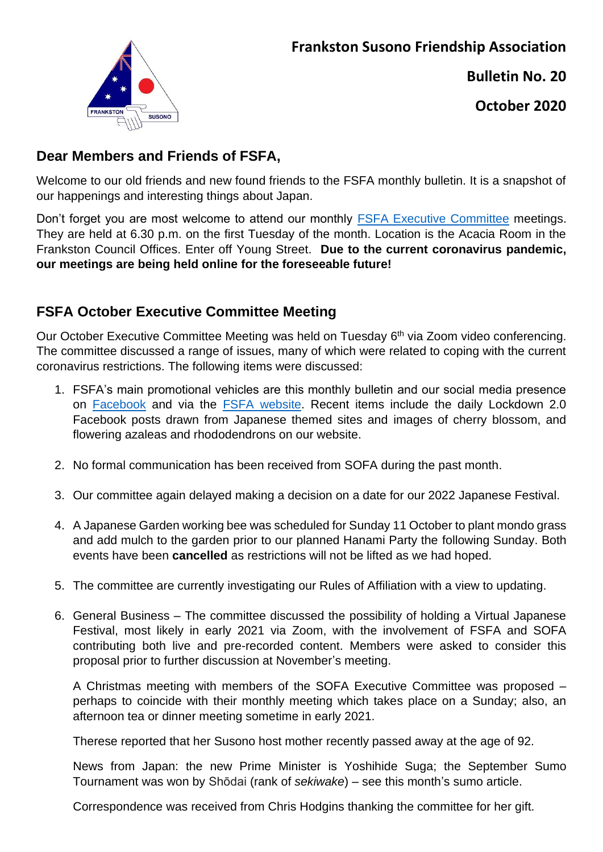

**Bulletin No. 20**

**October 2020**

# **Dear Members and Friends of FSFA,**

Welcome to our old friends and new found friends to the FSFA monthly bulletin. It is a snapshot of our happenings and interesting things about Japan.

Don't forget you are most welcome to attend our monthly [FSFA Executive Committee](http://www.frankston-susono.com/p/blog-page.html) meetings. They are held at 6.30 p.m. on the first Tuesday of the month. Location is the Acacia Room in the Frankston Council Offices. Enter off Young Street. **Due to the current coronavirus pandemic, our meetings are being held online for the foreseeable future!**

# **FSFA October Executive Committee Meeting**

Our October Executive Committee Meeting was held on Tuesday 6<sup>th</sup> via Zoom video conferencing. The committee discussed a range of issues, many of which were related to coping with the current coronavirus restrictions. The following items were discussed:

- 1. FSFA's main promotional vehicles are this monthly bulletin and our social media presence on [Facebook](https://www.facebook.com/frankstonsusono) and via the [FSFA website.](http://www.frankston-susono.com/) Recent items include the daily Lockdown 2.0 Facebook posts drawn from Japanese themed sites and images of cherry blossom, and flowering azaleas and rhododendrons on our website.
- 2. No formal communication has been received from SOFA during the past month.
- 3. Our committee again delayed making a decision on a date for our 2022 Japanese Festival.
- 4. A Japanese Garden working bee was scheduled for Sunday 11 October to plant mondo grass and add mulch to the garden prior to our planned Hanami Party the following Sunday. Both events have been **cancelled** as restrictions will not be lifted as we had hoped.
- 5. The committee are currently investigating our Rules of Affiliation with a view to updating.
- 6. General Business The committee discussed the possibility of holding a Virtual Japanese Festival, most likely in early 2021 via Zoom, with the involvement of FSFA and SOFA contributing both live and pre-recorded content. Members were asked to consider this proposal prior to further discussion at November's meeting.

A Christmas meeting with members of the SOFA Executive Committee was proposed – perhaps to coincide with their monthly meeting which takes place on a Sunday; also, an afternoon tea or dinner meeting sometime in early 2021.

Therese reported that her Susono host mother recently passed away at the age of 92.

News from Japan: the new Prime Minister is Yoshihide Suga; the September Sumo Tournament was won by Shōdai (rank of *sekiwake*) – see this month's sumo article.

Correspondence was received from Chris Hodgins thanking the committee for her gift.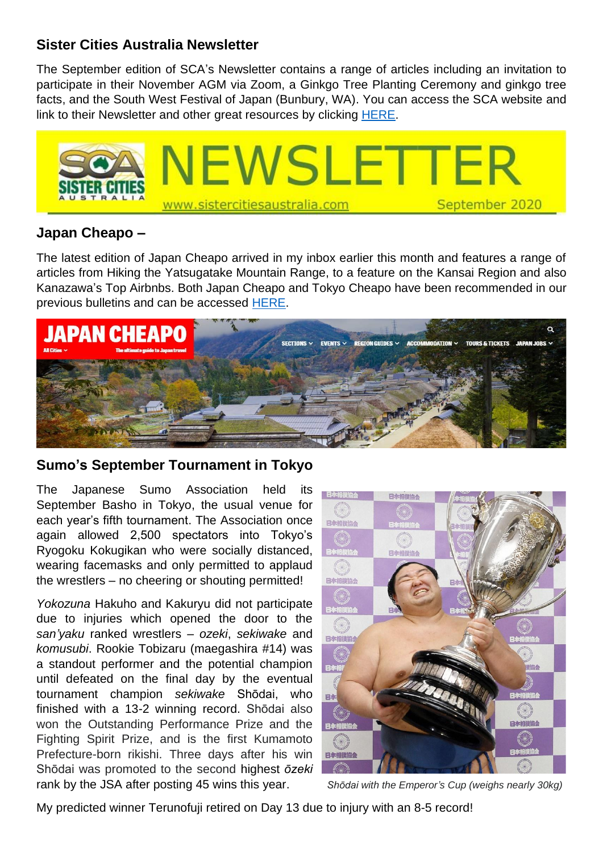#### **Sister Cities Australia Newsletter**

The September edition of SCA's Newsletter contains a range of articles including an invitation to participate in their November AGM via Zoom, a Ginkgo Tree Planting Ceremony and ginkgo tree facts, and the South West Festival of Japan (Bunbury, WA). You can access the SCA website and link to their Newsletter and other great resources by clicking [HERE.](http://www.sistercitiesaustralia.com/)



## **Japan Cheapo –**

The latest edition of Japan Cheapo arrived in my inbox earlier this month and features a range of articles from Hiking the Yatsugatake Mountain Range, to a feature on the Kansai Region and also Kanazawa's Top Airbnbs. Both Japan Cheapo and Tokyo Cheapo have been recommended in our previous bulletins and can be accessed [HERE.](https://tokyocheapo.com/editorial/japan-cheapo/)



## **Sumo's September Tournament in Tokyo**

The Japanese Sumo Association held its September Basho in Tokyo, the usual venue for each year's fifth tournament. The Association once again allowed 2,500 spectators into Tokyo's Ryogoku Kokugikan who were socially distanced, wearing facemasks and only permitted to applaud the wrestlers – no cheering or shouting permitted!

*Yokozuna* Hakuho and Kakuryu did not participate due to injuries which opened the door to the *san'yaku* ranked wrestlers – *ozeki*, *sekiwake* and *komusubi*. Rookie Tobizaru (maegashira #14) was a standout performer and the potential champion until defeated on the final day by the eventual tournament champion *sekiwake* [Shōdai,](https://en.wikipedia.org/wiki/Sh%C5%8Ddai_Naoya) who finished with a 13-2 winning record. Shōdai also won the Outstanding Performance Prize and the Fighting Spirit Prize, and is the first Kumamoto Prefecture-born rikishi. Three days after his win Shōdai was promoted to the second highest *ōzeki* rank by the JSA after posting 45 wins this year. *Shōdai with the Emperor's Cup (weighs nearly 30kg)*



My predicted winner Terunofuji retired on Day 13 due to injury with an 8-5 record!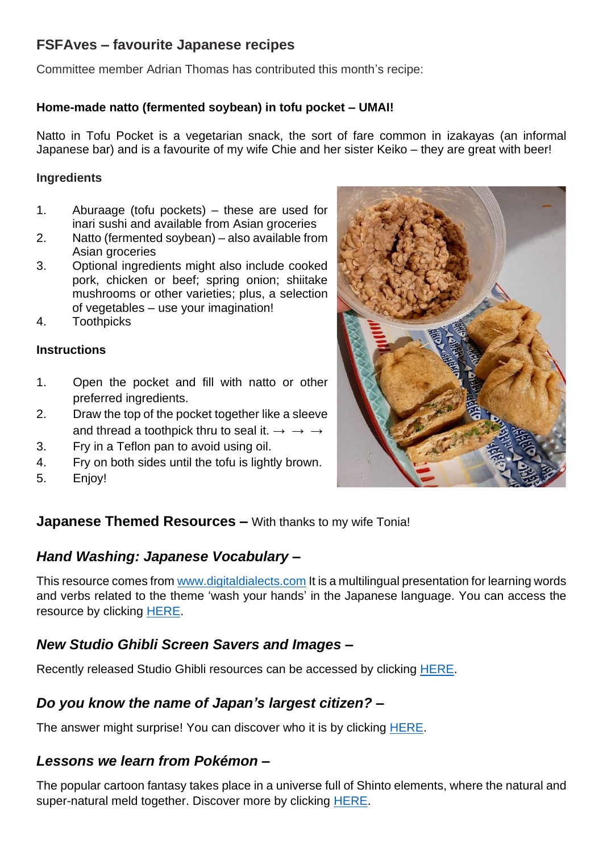# **FSFAves – favourite Japanese recipes**

Committee member Adrian Thomas has contributed this month's recipe:

#### **Home-made natto (fermented soybean) in tofu pocket – UMAI!**

Natto in Tofu Pocket is a vegetarian snack, the sort of fare common in izakayas (an informal Japanese bar) and is a favourite of my wife Chie and her sister Keiko – they are great with beer!

#### **Ingredients**

- 1. Aburaage (tofu pockets) these are used for inari sushi and available from Asian groceries
- 2. Natto (fermented soybean) also available from Asian groceries
- 3. Optional ingredients might also include cooked pork, chicken or beef; spring onion; shiitake mushrooms or other varieties; plus, a selection of vegetables – use your imagination!
- 4. Toothpicks

#### **Instructions**

- 1. Open the pocket and fill with natto or other preferred ingredients.
- 2. Draw the top of the pocket together like a sleeve and thread a toothpick thru to seal it.  $\rightarrow \rightarrow \rightarrow$
- 3. Fry in a Teflon pan to avoid using oil.
- 4. Fry on both sides until the tofu is lightly brown.
- 5. Enjoy!



## **Japanese Themed Resources –** With thanks to my wife Tonia!

## *Hand Washing: Japanese Vocabulary* **–**

This resource comes from [www.digitaldialects.com](http://www.digitaldialects.com/) It is a multilingual presentation for learning words and verbs related to the theme 'wash your hands' in the Japanese language. You can access the resource by clicking [HERE.](https://www.digitaldialects.com/wash_your_hands/Japanese.htm)

## *New Studio Ghibli Screen Savers and Images* **–**

Recently released Studio Ghibli resources can be accessed by clicking [HERE.](http://www.ghibli.jp/info/013344/)

## *Do you know the name of Japan's largest citizen?* **–**

The answer might surprise! You can discover who it is by clicking [HERE.](https://www.bbc.com/news/world-asia-32987622)

## *Lessons we learn from Pokémon –*

The popular cartoon fantasy takes place in a universe full of Shinto elements, where the natural and super-natural meld together. Discover more by clicking [HERE.](https://www.abc.net.au/news/2020-09-06/what-pokemon-pocket-monsters-can-teach-us-japan-shinto-faith/12626798)